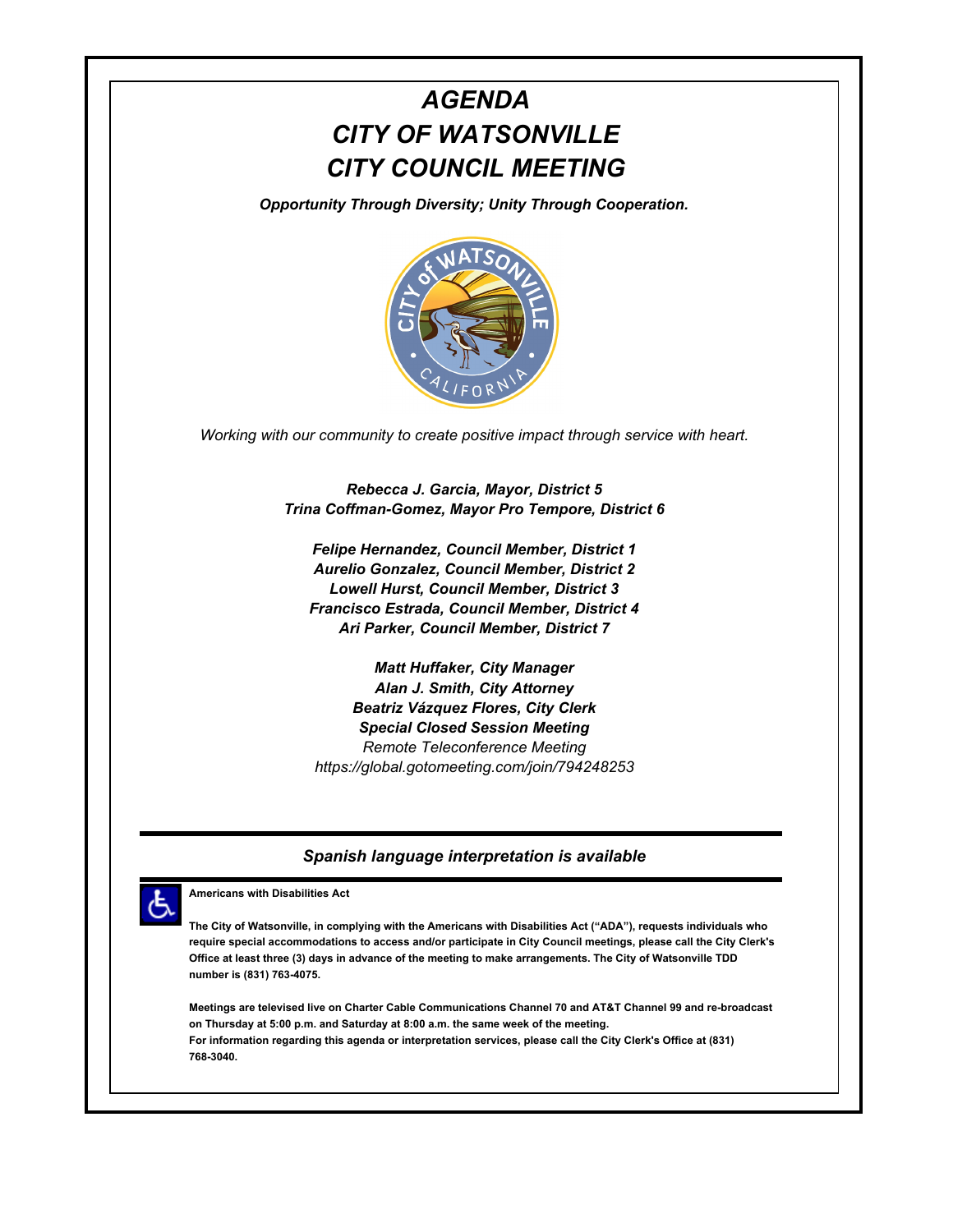# *AGENDA CITY OF WATSONVILLE CITY COUNCIL MEETING*

*Opportunity Through Diversity; Unity Through Cooperation.*



*Working with our community to create positive impact through service with heart.*

*Rebecca J. Garcia, Mayor, District 5 Trina Coffman-Gomez, Mayor Pro Tempore, District 6*

*Felipe Hernandez, Council Member, District 1 Aurelio Gonzalez, Council Member, District 2 Lowell Hurst, Council Member, District 3 Francisco Estrada, Council Member, District 4 Ari Parker, Council Member, District 7*

*Matt Huffaker, City Manager Alan J. Smith, City Attorney Beatriz Vázquez Flores, City Clerk Special Closed Session Meeting Remote Teleconference Meeting https://global.gotomeeting.com/join/794248253*

#### *Spanish language interpretation is available*



**Americans with Disabilities Act**

**The City of Watsonville, in complying with the Americans with Disabilities Act ("ADA"), requests individuals who require special accommodations to access and/or participate in City Council meetings, please call the City Clerk's Office at least three (3) days in advance of the meeting to make arrangements. The City of Watsonville TDD number is (831) 763-4075.**

**Meetings are televised live on Charter Cable Communications Channel 70 and AT&T Channel 99 and re-broadcast on Thursday at 5:00 p.m. and Saturday at 8:00 a.m. the same week of the meeting. For information regarding this agenda or interpretation services, please call the City Clerk's Office at (831) 768-3040.**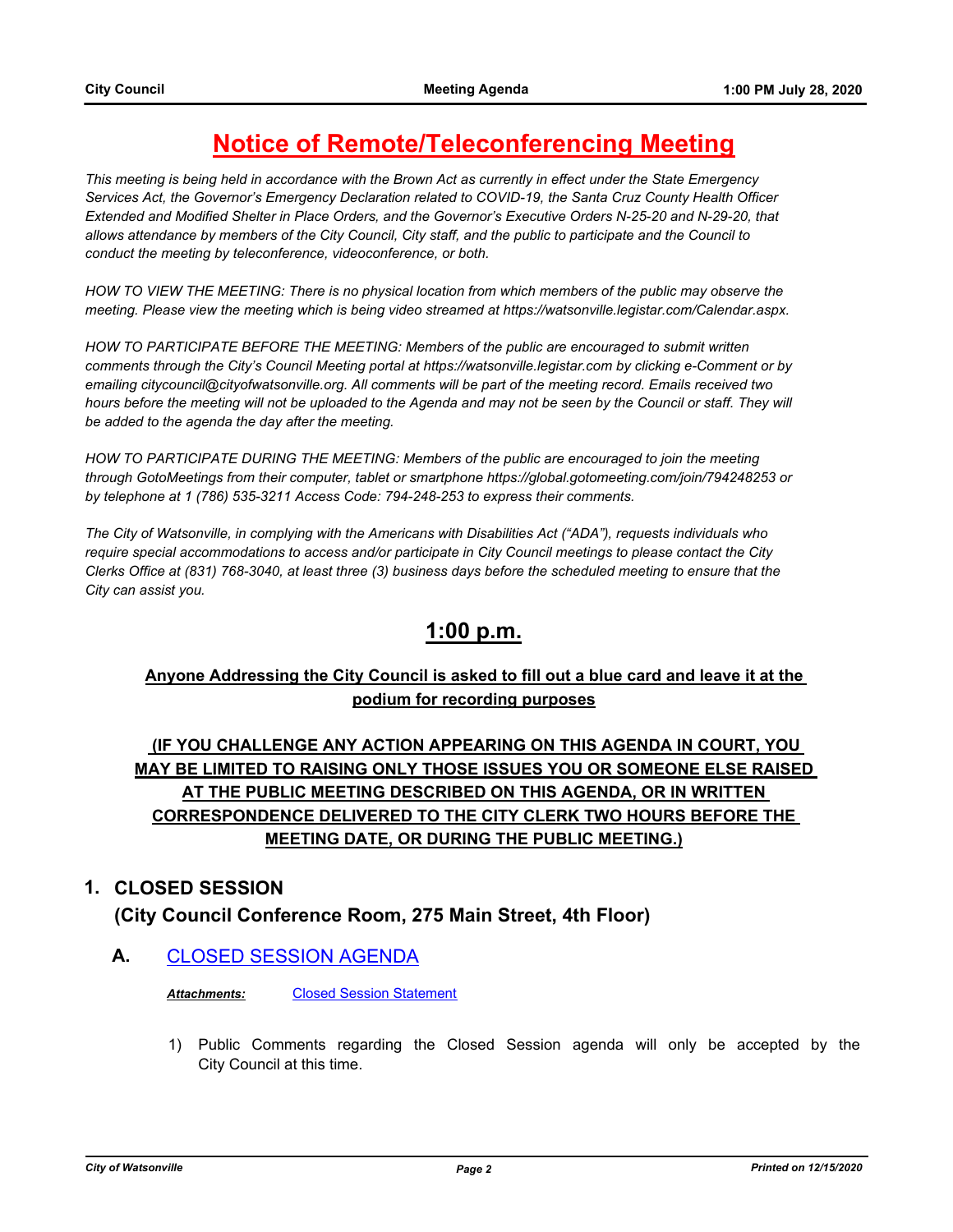## **Notice of Remote/Teleconferencing Meeting**

*This meeting is being held in accordance with the Brown Act as currently in effect under the State Emergency Services Act, the Governor's Emergency Declaration related to COVID-19, the Santa Cruz County Health Officer Extended and Modified Shelter in Place Orders, and the Governor's Executive Orders N-25-20 and N-29-20, that allows attendance by members of the City Council, City staff, and the public to participate and the Council to conduct the meeting by teleconference, videoconference, or both.*

*HOW TO VIEW THE MEETING: There is no physical location from which members of the public may observe the meeting. Please view the meeting which is being video streamed at https://watsonville.legistar.com/Calendar.aspx.*

*HOW TO PARTICIPATE BEFORE THE MEETING: Members of the public are encouraged to submit written comments through the City's Council Meeting portal at https://watsonville.legistar.com by clicking e-Comment or by emailing citycouncil@cityofwatsonville.org. All comments will be part of the meeting record. Emails received two*  hours before the meeting will not be uploaded to the Agenda and may not be seen by the Council or staff. They will *be added to the agenda the day after the meeting.*

*HOW TO PARTICIPATE DURING THE MEETING: Members of the public are encouraged to join the meeting through GotoMeetings from their computer, tablet or smartphone https://global.gotomeeting.com/join/794248253 or by telephone at 1 (786) 535-3211 Access Code: 794-248-253 to express their comments.* 

*The City of Watsonville, in complying with the Americans with Disabilities Act ("ADA"), requests individuals who require special accommodations to access and/or participate in City Council meetings to please contact the City Clerks Office at (831) 768-3040, at least three (3) business days before the scheduled meeting to ensure that the City can assist you.*

## **1:00 p.m.**

#### **Anyone Addressing the City Council is asked to fill out a blue card and leave it at the podium for recording purposes**

### **(IF YOU CHALLENGE ANY ACTION APPEARING ON THIS AGENDA IN COURT, YOU MAY BE LIMITED TO RAISING ONLY THOSE ISSUES YOU OR SOMEONE ELSE RAISED AT THE PUBLIC MEETING DESCRIBED ON THIS AGENDA, OR IN WRITTEN CORRESPONDENCE DELIVERED TO THE CITY CLERK TWO HOURS BEFORE THE MEETING DATE, OR DURING THE PUBLIC MEETING.)**

#### **1. CLOSED SESSION**

**(City Council Conference Room, 275 Main Street, 4th Floor)**

**A.** [CLOSED SESSION AGENDA](http://watsonville.legistar.com/gateway.aspx?m=l&id=/matter.aspx?key=3309)

*Attachments:* [Closed Session Statement](http://watsonville.legistar.com/gateway.aspx?M=F&ID=8e891a6e-3672-4338-91bd-98a0e1c06c1d.docx)

1) Public Comments regarding the Closed Session agenda will only be accepted by the City Council at this time.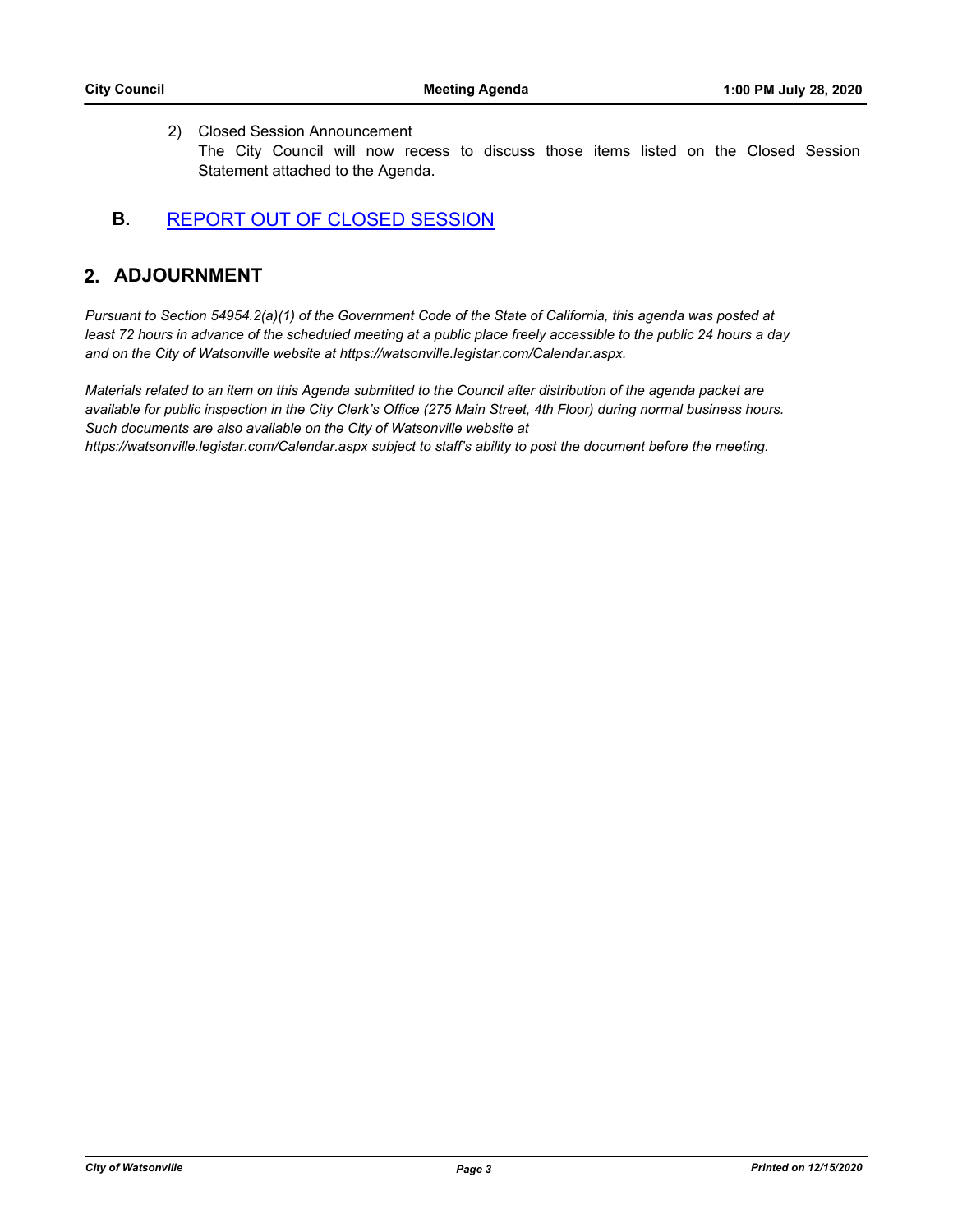#### 2) Closed Session Announcement

The City Council will now recess to discuss those items listed on the Closed Session Statement attached to the Agenda.

#### **B.** [REPORT OUT OF CLOSED SESSION](http://watsonville.legistar.com/gateway.aspx?m=l&id=/matter.aspx?key=3310)

### **2. ADJOURNMENT**

*Pursuant to Section 54954.2(a)(1) of the Government Code of the State of California, this agenda was posted at*  least 72 hours in advance of the scheduled meeting at a public place freely accessible to the public 24 hours a day *and on the City of Watsonville website at https://watsonville.legistar.com/Calendar.aspx.*

*Materials related to an item on this Agenda submitted to the Council after distribution of the agenda packet are available for public inspection in the City Clerk's Office (275 Main Street, 4th Floor) during normal business hours. Such documents are also available on the City of Watsonville website at https://watsonville.legistar.com/Calendar.aspx subject to staff's ability to post the document before the meeting.*